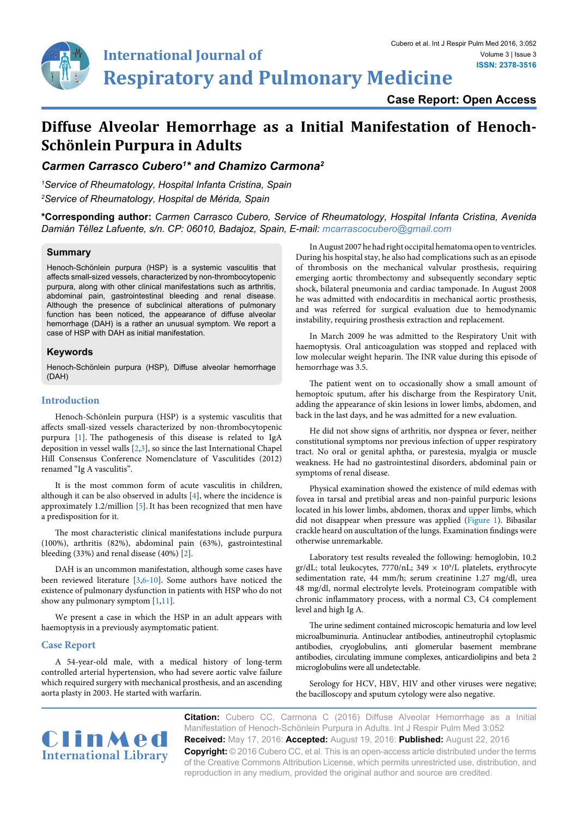

**Case Report: Open Access**

# **Diffuse Alveolar Hemorrhage as a Initial Manifestation of Henoch-Schönlein Purpura in Adults**

*Carmen Carrasco Cubero1 \* and Chamizo Carmona2*

*1 Service of Rheumatology, Hospital Infanta Cristina, Spain 2 Service of Rheumatology, Hospital de Mérida, Spain*

**\*Corresponding author:** *Carmen Carrasco Cubero, Service of Rheumatology, Hospital Infanta Cristina, Avenida Damián Téllez Lafuente, s/n. CP: 06010, Badajoz, Spain, E-mail: mcarrascocubero@gmail.com*

## **Summary**

Henoch-Schönlein purpura (HSP) is a systemic vasculitis that affects small-sized vessels, characterized by non-thrombocytopenic purpura, along with other clinical manifestations such as arthritis, abdominal pain, gastrointestinal bleeding and renal disease. Although the presence of subclinical alterations of pulmonary function has been noticed, the appearance of diffuse alveolar hemorrhage (DAH) is a rather an unusual symptom. We report a case of HSP with DAH as initial manifestation.

### **Keywords**

Henoch-Schönlein purpura (HSP), Diffuse alveolar hemorrhage (DAH)

# **Introduction**

Henoch-Schönlein purpura (HSP) is a systemic vasculitis that affects small-sized vessels characterized by non-thrombocytopenic purpura [\[1\]](#page-2-0). The pathogenesis of this disease is related to IgA deposition in vessel walls [[2,](#page-2-1)[3](#page-2-2)], so since the last International Chapel Hill Consensus Conference Nomenclature of Vasculitides (2012) renamed "Ig A vasculitis".

It is the most common form of acute vasculitis in children, although it can be also observed in adults [\[4](#page-2-3)], where the incidence is approximately 1.2/million [[5](#page-2-4)].It has been recognized that men have a predisposition for it.

The most characteristic clinical manifestations include purpura (100%), arthritis (82%), abdominal pain (63%), gastrointestinal bleeding (33%) and renal disease (40%) [\[2\]](#page-2-1).

DAH is an uncommon manifestation, although some cases have been reviewed literature [\[3,](#page-2-2)[6](#page-2-5)[-10\]](#page-2-6). Some authors have noticed the existence of pulmonary dysfunction in patients with HSP who do not show any pulmonary symptom [[1](#page-2-0)[,11\]](#page-2-7).

We present a case in which the HSP in an adult appears with haemoptysis in a previously asymptomatic patient.

## **Case Report**

A 54-year-old male, with a medical history of long-term controlled arterial hypertension, who had severe aortic valve failure which required surgery with mechanical prosthesis, and an ascending aorta plasty in 2003. He started with warfarin.

In August 2007 he had right occipital hematoma open to ventricles. During his hospital stay, he also had complications such as an episode of thrombosis on the mechanical valvular prosthesis, requiring emerging aortic thrombectomy and subsequently secondary septic shock, bilateral pneumonia and cardiac tamponade. In August 2008 he was admitted with endocarditis in mechanical aortic prosthesis, and was referred for surgical evaluation due to hemodynamic instability, requiring prosthesis extraction and replacement.

In March 2009 he was admitted to the Respiratory Unit with haemoptysis. Oral anticoagulation was stopped and replaced with low molecular weight heparin. The INR value during this episode of hemorrhage was 3.5.

The patient went on to occasionally show a small amount of hemoptoic sputum, after his discharge from the Respiratory Unit, adding the appearance of skin lesions in lower limbs, abdomen, and back in the last days, and he was admitted for a new evaluation.

He did not show signs of arthritis, nor dyspnea or fever, neither constitutional symptoms nor previous infection of upper respiratory tract. No oral or genital aphtha, or parestesia, myalgia or muscle weakness. He had no gastrointestinal disorders, abdominal pain or symptoms of renal disease.

Physical examination showed the existence of mild edemas with fovea in tarsal and pretibial areas and non-painful purpuric lesions located in his lower limbs, abdomen, thorax and upper limbs, which did not disappear when pressure was applied [\(Figure 1\)](#page-1-0). Bibasilar crackle heard on auscultation of the lungs. Examination findings were otherwise unremarkable.

Laboratory test results revealed the following: hemoglobin, 10.2  $gr/dL$ ; total leukocytes, 7770/nL; 349  $\times$  10<sup>9</sup>/L platelets, erythrocyte sedimentation rate, 44 mm/h; serum creatinine 1.27 mg/dl, urea 48 mg/dl, normal electrolyte levels. Proteinogram compatible with chronic inflammatory process, with a normal C3, C4 complement level and high Ig A.

The urine sediment contained microscopic hematuria and low level microalbuminuria. Antinuclear antibodies, antineutrophil cytoplasmic antibodies, cryoglobulins, anti glomerular basement membrane antibodies, circulating immune complexes, anticardiolipins and beta 2 microglobulins were all undetectable.

Serology for HCV, HBV, HIV and other viruses were negative; the bacilloscopy and sputum cytology were also negative.



**Citation:** Cubero CC, Carmona C (2016) Diffuse Alveolar Hemorrhage as a Initial Manifestation of Henoch-Schönlein Purpura in Adults. Int J Respir Pulm Med 3:052 **Received:** May 17, 2016: **Accepted:** August 19, 2016: **Published:** August 22, 2016 **Copyright:** © 2016 Cubero CC, et al. This is an open-access article distributed under the terms of the Creative Commons Attribution License, which permits unrestricted use, distribution, and reproduction in any medium, provided the original author and source are credited.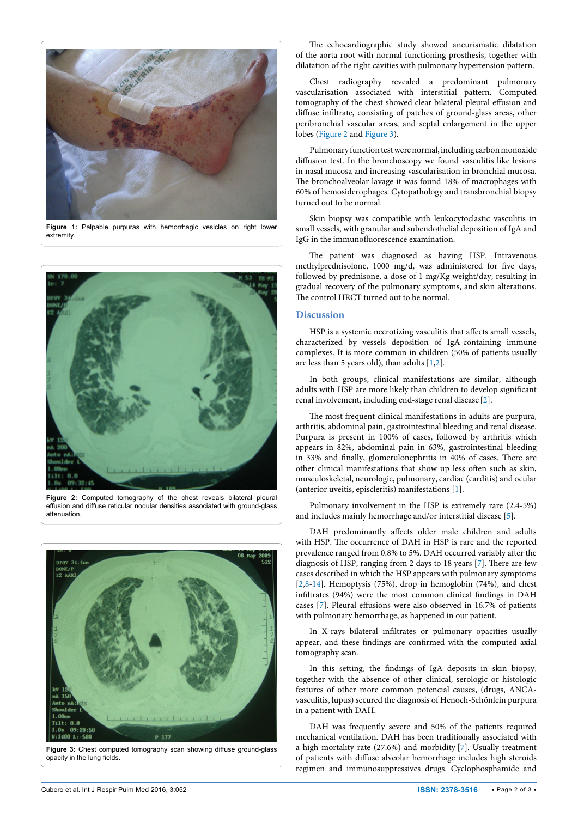<span id="page-1-0"></span>

**Figure 1:** Palpable purpuras with hemorrhagic vesicles on right lower extremity.

<span id="page-1-1"></span>

**Figure 2:** Computed tomography of the chest reveals bilateral pleural effusion and diffuse reticular nodular densities associated with ground-glass attenuation.

<span id="page-1-2"></span>

**Figure 3:** Chest computed tomography scan showing diffuse ground-glass opacity in the lung fields.

The echocardiographic study showed aneurismatic dilatation of the aorta root with normal functioning prosthesis, together with dilatation of the right cavities with pulmonary hypertension pattern.

Chest radiography revealed a predominant pulmonary vascularisation associated with interstitial pattern. Computed tomography of the chest showed clear bilateral pleural effusion and diffuse infiltrate, consisting of patches of ground-glass areas, other peribronchial vascular areas, and septal enlargement in the upper lobes [\(Figure 2](#page-1-1) and [Figure 3\)](#page-1-2).

Pulmonary function test were normal, including carbon monoxide diffusion test. In the bronchoscopy we found vasculitis like lesions in nasal mucosa and increasing vascularisation in bronchial mucosa. The bronchoalveolar lavage it was found 18% of macrophages with 60% of hemosiderophages. Cytopathology and transbronchial biopsy turned out to be normal.

Skin biopsy was compatible with leukocytoclastic vasculitis in small vessels, with granular and subendothelial deposition of IgA and IgG in the immunofluorescence examination.

The patient was diagnosed as having HSP. Intravenous methylprednisolone, 1000 mg/d, was administered for five days, followed by prednisone, a dose of 1 mg/Kg weight/day; resulting in gradual recovery of the pulmonary symptoms, and skin alterations. The control HRCT turned out to be normal.

# **Discussion**

HSP is a systemic necrotizing vasculitis that affects small vessels, characterized by vessels deposition of IgA-containing immune complexes. It is more common in children (50% of patients usually are less than 5 years old), than adults [\[1,](#page-2-0)[2\]](#page-2-1).

In both groups, clinical manifestations are similar, although adults with HSP are more likely than children to develop significant renal involvement, including end-stage renal disease [[2](#page-2-1)].

The most frequent clinical manifestations in adults are purpura, arthritis, abdominal pain, gastrointestinal bleeding and renal disease. Purpura is present in 100% of cases, followed by arthritis which appears in 82%, abdominal pain in 63%, gastrointestinal bleeding in 33% and finally, glomerulonephritis in 40% of cases. There are other clinical manifestations that show up less often such as skin, musculoskeletal, neurologic, pulmonary, cardiac (carditis) and ocular (anterior uveitis, episcleritis) manifestations [[1\]](#page-2-0).

Pulmonary involvement in the HSP is extremely rare (2.4-5%) and includes mainly hemorrhage and/or interstitial disease [[5](#page-2-4)].

DAH predominantly affects older male children and adults with HSP. The occurrence of DAH in HSP is rare and the reported prevalence ranged from 0.8% to 5%. DAH occurred variably after the diagnosis of HSP, ranging from 2 days to 18 years [[7](#page-2-8)]. There are few cases described in which the HSP appears with pulmonary symptoms [[2](#page-2-1)[,8-](#page-2-9)[14](#page-2-10)]. Hemoptysis (75%), drop in hemoglobin (74%), and chest infiltrates (94%) were the most common clinical findings in DAH cases [\[7](#page-2-8)]. Pleural effusions were also observed in 16.7% of patients with pulmonary hemorrhage, as happened in our patient.

In X-rays bilateral infiltrates or pulmonary opacities usually appear, and these findings are confirmed with the computed axial tomography scan.

In this setting, the findings of IgA deposits in skin biopsy, together with the absence of other clinical, serologic or histologic features of other more common potencial causes, (drugs, ANCAvasculitis, lupus) secured the diagnosis of Henoch-Schönlein purpura in a patient with DAH.

DAH was frequently severe and 50% of the patients required mechanical ventilation. DAH has been traditionally associated with a high mortality rate (27.6%) and morbidity [\[7](#page-2-8)]. Usually treatment of patients with diffuse alveolar hemorrhage includes high steroids regimen and immunosuppressives drugs. Cyclophosphamide and